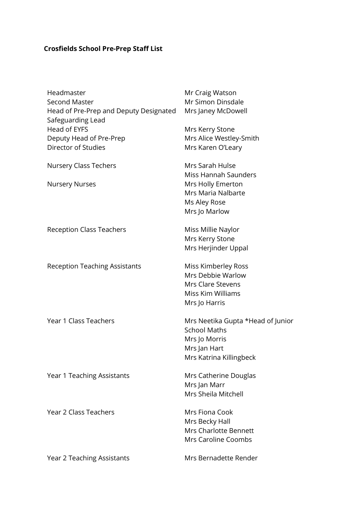## **Crosfields School Pre-Prep Staff List**

| Headmaster<br><b>Second Master</b><br>Head of Pre-Prep and Deputy Designated<br>Safeguarding Lead | Mr Craig Watson<br>Mr Simon Dinsdale<br>Mrs Janey McDowell                                                           |
|---------------------------------------------------------------------------------------------------|----------------------------------------------------------------------------------------------------------------------|
| <b>Head of EYFS</b><br>Deputy Head of Pre-Prep<br><b>Director of Studies</b>                      | Mrs Kerry Stone<br>Mrs Alice Westley-Smith<br>Mrs Karen O'Leary                                                      |
| <b>Nursery Class Techers</b><br><b>Nursery Nurses</b>                                             | Mrs Sarah Hulse<br>Miss Hannah Saunders<br>Mrs Holly Emerton<br>Mrs Maria Nalbarte<br>Ms Aley Rose<br>Mrs Jo Marlow  |
| <b>Reception Class Teachers</b>                                                                   | Miss Millie Naylor<br>Mrs Kerry Stone<br>Mrs Herjinder Uppal                                                         |
| <b>Reception Teaching Assistants</b>                                                              | <b>Miss Kimberley Ross</b><br>Mrs Debbie Warlow<br>Mrs Clare Stevens<br>Miss Kim Williams<br>Mrs Jo Harris           |
| Year 1 Class Teachers                                                                             | Mrs Neetika Gupta *Head of Junior<br><b>School Maths</b><br>Mrs Jo Morris<br>Mrs Jan Hart<br>Mrs Katrina Killingbeck |
| Year 1 Teaching Assistants                                                                        | Mrs Catherine Douglas<br>Mrs Jan Marr<br>Mrs Sheila Mitchell                                                         |
| <b>Year 2 Class Teachers</b>                                                                      | Mrs Fiona Cook<br>Mrs Becky Hall<br>Mrs Charlotte Bennett<br>Mrs Caroline Coombs                                     |
| Year 2 Teaching Assistants                                                                        | Mrs Bernadette Render                                                                                                |